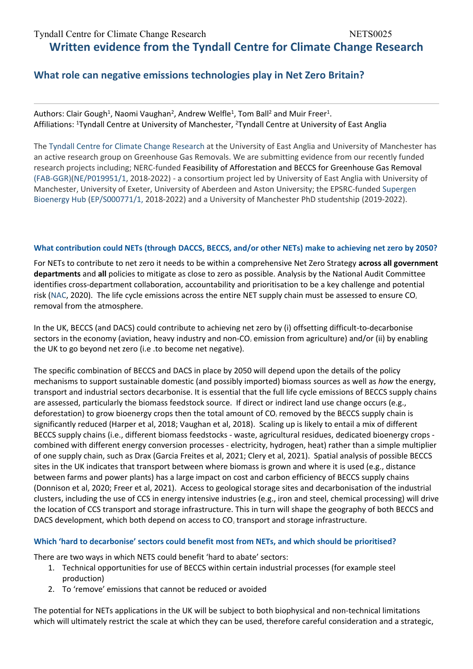# **Written evidence from the Tyndall Centre for Climate Change Research**

# **What role can negative emissions technologies play in Net Zero Britain?**

Authors: Clair Gough<sup>1</sup>, Naomi Vaughan<sup>2</sup>, Andrew Welfle<sup>1</sup>, Tom Ball<sup>2</sup> and Muir Freer<sup>1</sup>. Affiliations: <sup>1</sup>Tyndall Centre at University of Manchester, <sup>2</sup>Tyndall Centre at University of East Anglia

The [Tyndall](https://tyndall.ac.uk/) [Centre](https://tyndall.ac.uk/) [for](https://tyndall.ac.uk/) [Climate](https://tyndall.ac.uk/) [Change](https://tyndall.ac.uk/) [Research](https://tyndall.ac.uk/) at the University of East Anglia and University of Manchester has an active research group on Greenhouse Gas Removals. We are submitting evidence from our recently funded research projects including; NERC-funded Feasibility of Afforestation and BECCS for Greenhouse Gas Removal ([FAB-GGR\)](https://fab-ggr.org/)[\(NE/P019951/1,](http://gotw.nerc.ac.uk/list_full.asp?pcode=NE%2FP019951%2F1) 2018-2022) - a consortium project led by University of East Anglia with University of Manchester, University of Exeter, University of Aberdeen and Aston University; the EPSRC-funded [Supergen](https://www.supergen-bioenergy.net/) [Bioenergy](https://www.supergen-bioenergy.net/) [Hub](https://www.supergen-bioenergy.net/) [\(EP/S000771/1,](https://gow.epsrc.ukri.org/NGBOViewGrant.aspx?GrantRef=EP/S000771/1) 2018-2022) and a University of Manchester PhD studentship (2019-2022).

### What contribution could NETs (through DACCS, BECCS, and/or other NETs) make to achieving net zero by 2050?

For NETs to contribute to net zero it needs to be within a comprehensive Net Zero Strategy **across all government departments** and **all** policies to mitigate as close to zero as possible. Analysis by the National Audit Committee identifies cross-department collaboration, accountability and prioritisation to be a key challenge and potential risk [\(NAC](https://www.nao.org.uk/report/achieving-net-zero/), 2020). The life cycle emissions across the entire NET supply chain must be assessed to ensure  $CO<sub>2</sub>$ removal from the atmosphere.

In the UK, BECCS (and DACS) could contribute to achieving net zero by (i) offsetting difficult-to-decarbonise sectors in the economy (aviation, heavy industry and non-CO<sub>2</sub> emission from agriculture) and/or (ii) by enabling the UK to go beyond net zero (i.e .to become net negative).

The specific combination of BECCS and DACS in place by 2050 will depend upon the details of the policy mechanisms to support sustainable domestic (and possibly imported) biomass sources as well as *how* the energy, transport and industrial sectors decarbonise. It is essential that the full life cycle emissions of BECCS supply chains are assessed, particularly the biomass feedstock source. If direct or indirect land use change occurs (e.g., deforestation) to grow bioenergy crops then the total amount of CO<sub>2</sub> removed by the BECCS supply chain is significantly reduced (Harper et al, 2018; Vaughan et al, 2018). Scaling up is likely to entail a mix of different BECCS supply chains (i.e., different biomass feedstocks - waste, agricultural residues, dedicated bioenergy crops combined with different energy conversion processes - electricity, hydrogen, heat) rather than a simple multiplier of one supply chain, such as Drax (Garcia Freites et al, 2021; Clery et al, 2021). Spatial analysis of possible BECCS sites in the UK indicates that transport between where biomass is grown and where it is used (e.g., distance between farms and power plants) has a large impact on cost and carbon efficiency of BECCS supply chains (Donnison et al, 2020; Freer et al, 2021). Access to geological storage sites and decarbonisation of the industrial clusters, including the use of CCS in energy intensive industries (e.g., iron and steel, chemical processing) will drive the location of CCS transport and storage infrastructure. This in turn will shape the geography of both BECCS and DACS development, which both depend on access to CO<sub>2</sub> transport and storage infrastructure.

# **Which 'hard to decarbonise' sectors could benefit most from NETs, and which should be prioritised?**

There are two ways in which NETS could benefit 'hard to abate' sectors:

- 1. Technical opportunities for use of BECCS within certain industrial processes (for example steel production)
- 2. To 'remove' emissions that cannot be reduced or avoided

The potential for NETs applications in the UK will be subject to both biophysical and non-technical limitations which will ultimately restrict the scale at which they can be used, therefore careful consideration and a strategic,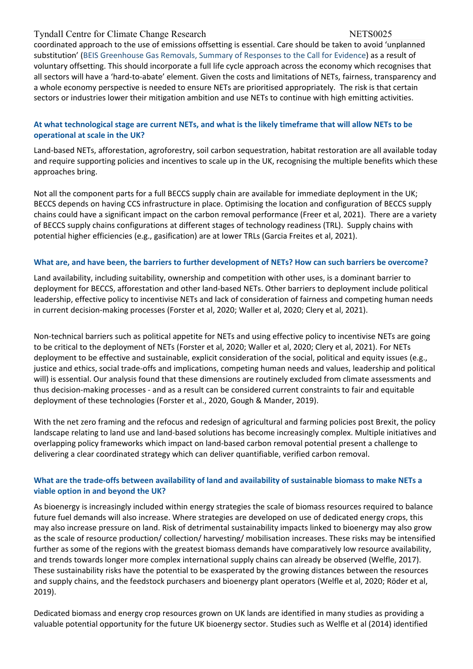coordinated approach to the use of emissions offsetting is essential. Care should be taken to avoid 'unplanned substitution' ([BEIS](https://assets.publishing.service.gov.uk/government/uploads/system/uploads/attachment_data/file/1026494/ggr-cfe-summary-of-responses.pdf) [Greenhouse](https://assets.publishing.service.gov.uk/government/uploads/system/uploads/attachment_data/file/1026494/ggr-cfe-summary-of-responses.pdf) [Gas](https://assets.publishing.service.gov.uk/government/uploads/system/uploads/attachment_data/file/1026494/ggr-cfe-summary-of-responses.pdf) [Removals,](https://assets.publishing.service.gov.uk/government/uploads/system/uploads/attachment_data/file/1026494/ggr-cfe-summary-of-responses.pdf) [Summary](https://assets.publishing.service.gov.uk/government/uploads/system/uploads/attachment_data/file/1026494/ggr-cfe-summary-of-responses.pdf) [of](https://assets.publishing.service.gov.uk/government/uploads/system/uploads/attachment_data/file/1026494/ggr-cfe-summary-of-responses.pdf) [Responses](https://assets.publishing.service.gov.uk/government/uploads/system/uploads/attachment_data/file/1026494/ggr-cfe-summary-of-responses.pdf) [to](https://assets.publishing.service.gov.uk/government/uploads/system/uploads/attachment_data/file/1026494/ggr-cfe-summary-of-responses.pdf) [the](https://assets.publishing.service.gov.uk/government/uploads/system/uploads/attachment_data/file/1026494/ggr-cfe-summary-of-responses.pdf) [Call](https://assets.publishing.service.gov.uk/government/uploads/system/uploads/attachment_data/file/1026494/ggr-cfe-summary-of-responses.pdf) [for](https://assets.publishing.service.gov.uk/government/uploads/system/uploads/attachment_data/file/1026494/ggr-cfe-summary-of-responses.pdf) [Evidence\)](https://assets.publishing.service.gov.uk/government/uploads/system/uploads/attachment_data/file/1026494/ggr-cfe-summary-of-responses.pdf) as a result of voluntary offsetting. This should incorporate a full life cycle approach across the economy which recognises that all sectors will have a 'hard-to-abate' element. Given the costs and limitations of NETs, fairness, transparency and a whole economy perspective is needed to ensure NETs are prioritised appropriately. The risk is that certain sectors or industries lower their mitigation ambition and use NETs to continue with high emitting activities.

# At what technological stage are current NETs, and what is the likely timeframe that will allow NETs to be **operational at scale in the UK?**

Land-based NETs, afforestation, agroforestry, soil carbon sequestration, habitat restoration are all available today and require supporting policies and incentives to scale up in the UK, recognising the multiple benefits which these approaches bring.

Not all the component parts for a full BECCS supply chain are available for immediate deployment in the UK; BECCS depends on having CCS infrastructure in place. Optimising the location and configuration of BECCS supply chains could have a significant impact on the carbon removal performance (Freer et al, 2021). There are a variety of BECCS supply chains configurations at different stages of technology readiness (TRL). Supply chains with potential higher efficiencies (e.g., gasification) are at lower TRLs (Garcia Freites et al, 2021).

### What are, and have been, the barriers to further development of NETs? How can such barriers be overcome?

Land availability, including suitability, ownership and competition with other uses, is a dominant barrier to deployment for BECCS, afforestation and other land-based NETs. Other barriers to deployment include political leadership, effective policy to incentivise NETs and lack of consideration of fairness and competing human needs in current decision-making processes (Forster et al, 2020; Waller et al, 2020; Clery et al, 2021).

Non-technical barriers such as political appetite for NETs and using effective policy to incentivise NETs are going to be critical to the deployment of NETs (Forster et al, 2020; Waller et al, 2020; Clery et al, 2021). For NETs deployment to be effective and sustainable, explicit consideration of the social, political and equity issues (e.g., justice and ethics, social trade-offs and implications, competing human needs and values, leadership and political will) is essential. Our analysis found that these dimensions are routinely excluded from climate assessments and thus decision-making processes - and as a result can be considered current constraints to fair and equitable deployment of these technologies (Forster et al., 2020, Gough & Mander, 2019).

With the net zero framing and the refocus and redesign of agricultural and farming policies post Brexit, the policy landscape relating to land use and land-based solutions has become increasingly complex. Multiple initiatives and overlapping policy frameworks which impact on land-based carbon removal potential present a challenge to delivering a clear coordinated strategy which can deliver quantifiable, verified carbon removal.

### What are the trade-offs between availability of land and availability of sustainable biomass to make NETs a **viable option in and beyond the UK?**

As bioenergy is increasingly included within energy strategies the scale of biomass resources required to balance future fuel demands will also increase. Where strategies are developed on use of dedicated energy crops, this may also increase pressure on land. Risk of detrimental sustainability impacts linked to bioenergy may also grow as the scale of resource production/ collection/ harvesting/ mobilisation increases. These risks may be intensified further as some of the regions with the greatest biomass demands have comparatively low resource availability, and trends towards longer more complex international supply chains can already be observed (Welfle, 2017). These sustainability risks have the potential to be exasperated by the growing distances between the resources and supply chains, and the feedstock purchasers and bioenergy plant operators (Welfle et al, 2020; Röder et al, 2019).

Dedicated biomass and energy crop resources grown on UK lands are identified in many studies as providing a valuable potential opportunity for the future UK bioenergy sector. Studies such as Welfle et al (2014) identified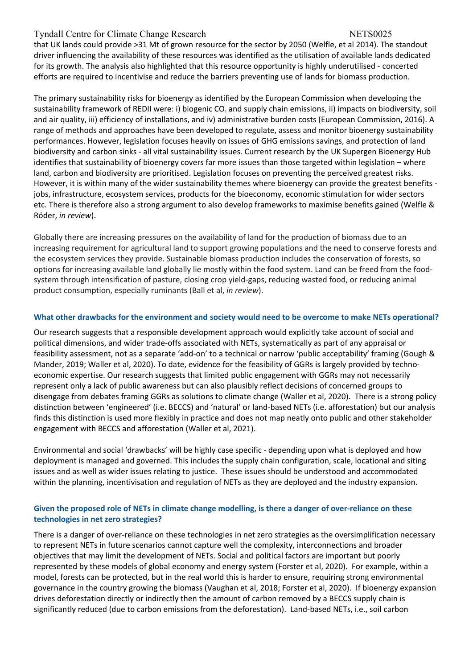that UK lands could provide >31 Mt of grown resource for the sector by 2050 (Welfle, et al 2014). The standout driver influencing the availability of these resources was identified as the utilisation of available lands dedicated for its growth. The analysis also highlighted that this resource opportunity is highly underutilised - concerted efforts are required to incentivise and reduce the barriers preventing use of lands for biomass production.

The primary sustainability risks for bioenergy as identified by the European Commission when developing the sustainability framework of REDII were: i) biogenic CO, and supply chain emissions, ii) impacts on biodiversity, soil and air quality, iii) efficiency of installations, and iv) administrative burden costs (European Commission, 2016). A range of methods and approaches have been developed to regulate, assess and monitor bioenergy sustainability performances. However, legislation focuses heavily on issues of GHG emissions savings, and protection of land biodiversity and carbon sinks - all vital sustainability issues. Current research by the UK Supergen Bioenergy Hub identifies that sustainability of bioenergy covers far more issues than those targeted within legislation – where land, carbon and biodiversity are prioritised. Legislation focuses on preventing the perceived greatest risks. However, it is within many of the wider sustainability themes where bioenergy can provide the greatest benefits jobs, infrastructure, ecosystem services, products for the bioeconomy, economic stimulation for wider sectors etc. There is therefore also a strong argument to also develop frameworks to maximise benefits gained (Welfle & Röder, *in review*).

Globally there are increasing pressures on the availability of land for the production of biomass due to an increasing requirement for agricultural land to support growing populations and the need to conserve forests and the ecosystem services they provide. Sustainable biomass production includes the conservation of forests, so options for increasing available land globally lie mostly within the food system. Land can be freed from the foodsystem through intensification of pasture, closing crop yield-gaps, reducing wasted food, or reducing animal product consumption, especially ruminants (Ball et al, *in review*).

# **What other drawbacks for the environment and society would need to be overcome to make NETs operational?**

Our research suggests that a responsible development approach would explicitly take account of social and political dimensions, and wider trade-offs associated with NETs, systematically as part of any appraisal or feasibility assessment, not as a separate 'add-on' to a technical or narrow 'public acceptability' framing (Gough & Mander, 2019; Waller et al, 2020). To date, evidence for the feasibility of GGRs is largely provided by technoeconomic expertise. Our research suggests that limited public engagement with GGRs may not necessarily represent only a lack of public awareness but can also plausibly reflect decisions of concerned groups to disengage from debates framing GGRs as solutions to climate change (Waller et al, 2020). There is a strong policy distinction between 'engineered' (i.e. BECCS) and 'natural' or land-based NETs (i.e. afforestation) but our analysis finds this distinction is used more flexibly in practice and does not map neatly onto public and other stakeholder engagement with BECCS and afforestation (Waller et al, 2021).

Environmental and social 'drawbacks' will be highly case specific - depending upon what is deployed and how deployment is managed and governed. This includes the supply chain configuration, scale, locational and siting issues and as well as wider issues relating to justice. These issues should be understood and accommodated within the planning, incentivisation and regulation of NETs as they are deployed and the industry expansion.

# Given the proposed role of NETs in climate change modelling, is there a danger of over-reliance on these **technologies in net zero strategies?**

There is a danger of over-reliance on these technologies in net zero strategies as the oversimplification necessary to represent NETs in future scenarios cannot capture well the complexity, interconnections and broader objectives that may limit the development of NETs. Social and political factors are important but poorly represented by these models of global economy and energy system (Forster et al, 2020). For example, within a model, forests can be protected, but in the real world this is harder to ensure, requiring strong environmental governance in the country growing the biomass (Vaughan et al, 2018; Forster et al, 2020). If bioenergy expansion drives deforestation directly or indirectly then the amount of carbon removed by a BECCS supply chain is significantly reduced (due to carbon emissions from the deforestation). Land-based NETs, i.e., soil carbon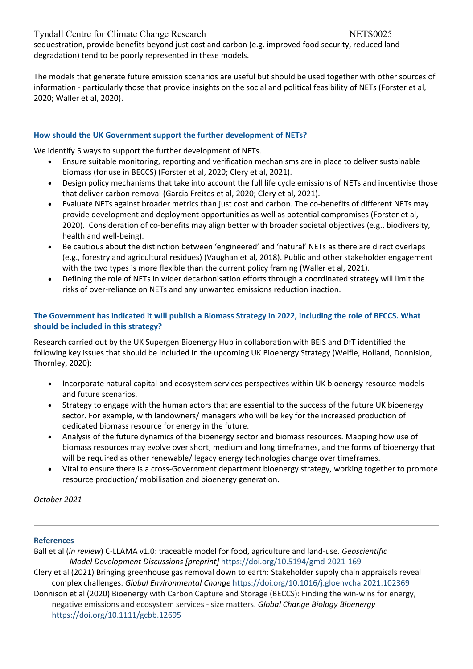sequestration, provide benefits beyond just cost and carbon (e.g. improved food security, reduced land degradation) tend to be poorly represented in these models.

The models that generate future emission scenarios are useful but should be used together with other sources of information - particularly those that provide insights on the social and political feasibility of NETs (Forster et al, 2020; Waller et al, 2020).

# **How should the UK Government support the further development of NETs?**

We identify 5 ways to support the further development of NETs.

- Ensure suitable monitoring, reporting and verification mechanisms are in place to deliver sustainable biomass (for use in BECCS) (Forster et al, 2020; Clery et al, 2021).
- Design policy mechanisms that take into account the full life cycle emissions of NETs and incentivise those that deliver carbon removal (Garcia Freites et al, 2020; Clery et al, 2021).
- Evaluate NETs against broader metrics than just cost and carbon. The co-benefits of different NETs may provide development and deployment opportunities as well as potential compromises (Forster et al, 2020). Consideration of co-benefits may align better with broader societal objectives (e.g., biodiversity, health and well-being).
- Be cautious about the distinction between 'engineered' and 'natural' NETs as there are direct overlaps (e.g., forestry and agricultural residues) (Vaughan et al, 2018). Public and other stakeholder engagement with the two types is more flexible than the current policy framing (Waller et al, 2021).
- Defining the role of NETs in wider decarbonisation efforts through a coordinated strategy will limit the risks of over-reliance on NETs and any unwanted emissions reduction inaction.

# The Government has indicated it will publish a Biomass Strategy in 2022, including the role of BECCS. What **should be included in this strategy?**

Research carried out by the UK Supergen Bioenergy Hub in collaboration with BEIS and DfT identified the following key issues that should be included in the upcoming UK Bioenergy Strategy (Welfle, Holland, Donnision, Thornley, 2020):

- Incorporate natural capital and ecosystem services perspectives within UK bioenergy resource models and future scenarios.
- Strategy to engage with the human actors that are essential to the success of the future UK bioenergy sector. For example, with landowners/ managers who will be key for the increased production of dedicated biomass resource for energy in the future.
- Analysis of the future dynamics of the bioenergy sector and biomass resources. Mapping how use of biomass resources may evolve over short, medium and long timeframes, and the forms of bioenergy that will be required as other renewable/ legacy energy technologies change over timeframes.
- Vital to ensure there is a cross-Government department bioenergy strategy, working together to promote resource production/ mobilisation and bioenergy generation.

*October 2021*

# **References**

Ball et al (*in review*) C-LLAMA v1.0: traceable model for food, agriculture and land-use. *Geoscientific Model Development Discussions [preprint]* <https://doi.org/10.5194/gmd-2021-169>

Clery et al (2021) Bringing greenhouse gas removal down to earth: Stakeholder supply chain appraisals reveal complex challenges. *Global Environmental Change* <https://doi.org/10.1016/j.gloenvcha.2021.102369>

Donnison et al (2020) Bioenergy with Carbon Capture and Storage (BECCS): Finding the win-wins for energy, negative emissions and ecosystem services - size matters. *Global Change Biology Bioenergy* <https://doi.org/10.1111/gcbb.12695>